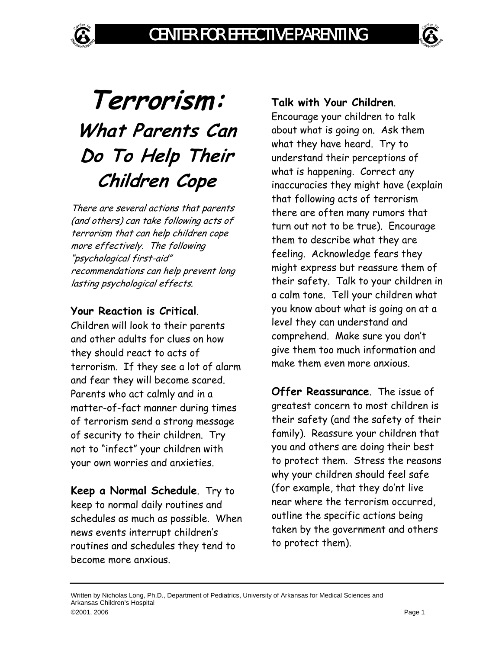# **Terrorism: What Parents Can Do To Help Their Children Cope**

There are several actions that parents (and others) can take following acts of terrorism that can help children cope more effectively. The following "psychological first-aid" recommendations can help prevent long lasting psychological effects.

## **Your Reaction is Critical**.

Children will look to their parents and other adults for clues on how they should react to acts of terrorism. If they see a lot of alarm and fear they will become scared. Parents who act calmly and in a matter-of-fact manner during times of terrorism send a strong message of security to their children. Try not to "infect" your children with your own worries and anxieties.

**Keep a Normal Schedule**. Try to keep to normal daily routines and schedules as much as possible. When news events interrupt children's routines and schedules they tend to become more anxious.

## **Talk with Your Children**.

Encourage your children to talk about what is going on. Ask them what they have heard. Try to understand their perceptions of what is happening. Correct any inaccuracies they might have (explain that following acts of terrorism there are often many rumors that turn out not to be true). Encourage them to describe what they are feeling. Acknowledge fears they might express but reassure them of their safety. Talk to your children in a calm tone. Tell your children what you know about what is going on at a level they can understand and comprehend. Make sure you don't give them too much information and make them even more anxious.

**Offer Reassurance**. The issue of greatest concern to most children is their safety (and the safety of their family). Reassure your children that you and others are doing their best to protect them. Stress the reasons why your children should feel safe (for example, that they do'nt live near where the terrorism occurred, outline the specific actions being taken by the government and others to protect them).